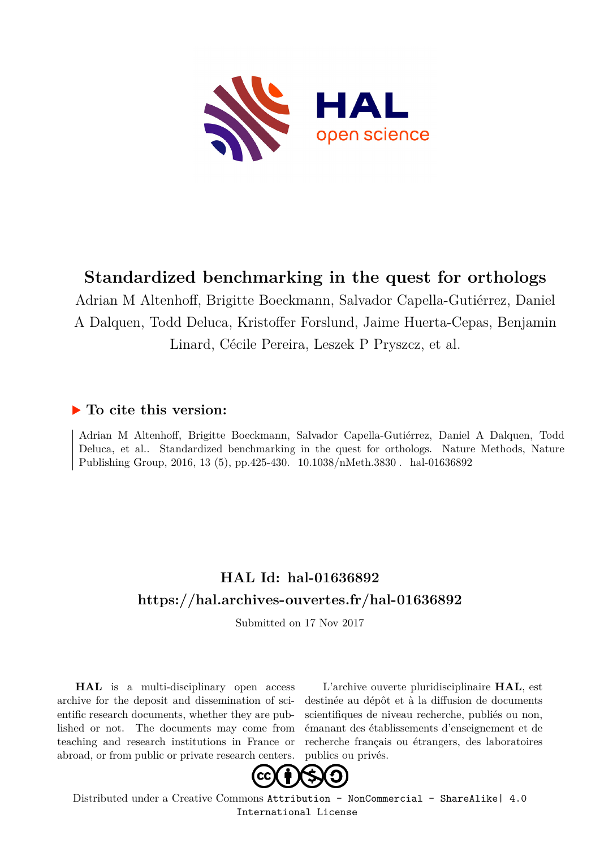

# **Standardized benchmarking in the quest for orthologs**

Adrian M Altenhoff, Brigitte Boeckmann, Salvador Capella-Gutiérrez, Daniel A Dalquen, Todd Deluca, Kristoffer Forslund, Jaime Huerta-Cepas, Benjamin Linard, Cécile Pereira, Leszek P Pryszcz, et al.

### **To cite this version:**

Adrian M Altenhoff, Brigitte Boeckmann, Salvador Capella-Gutiérrez, Daniel A Dalquen, Todd Deluca, et al.. Standardized benchmarking in the quest for orthologs. Nature Methods, Nature Publishing Group, 2016, 13 $(5)$ , pp.425-430.  $10.1038/n\mathrm{Meth}.3830$ . hal-01636892

## **HAL Id: hal-01636892 <https://hal.archives-ouvertes.fr/hal-01636892>**

Submitted on 17 Nov 2017

**HAL** is a multi-disciplinary open access archive for the deposit and dissemination of scientific research documents, whether they are published or not. The documents may come from teaching and research institutions in France or abroad, or from public or private research centers.

L'archive ouverte pluridisciplinaire **HAL**, est destinée au dépôt et à la diffusion de documents scientifiques de niveau recherche, publiés ou non, émanant des établissements d'enseignement et de recherche français ou étrangers, des laboratoires publics ou privés.



Distributed under a Creative Commons [Attribution - NonCommercial - ShareAlike| 4.0](http://creativecommons.org/licenses/by-nc-sa/4.0/) [International License](http://creativecommons.org/licenses/by-nc-sa/4.0/)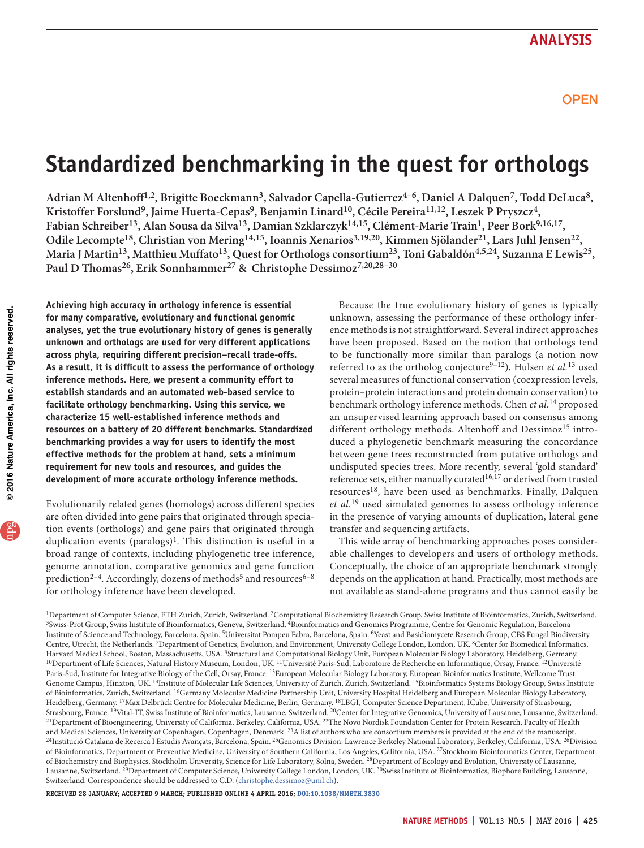# **Standardized benchmarking in the quest for orthologs**

Adrian M Altenhoff<sup>1,2</sup>, Brigitte Boeckmann<sup>3</sup>, Salvador Capella-Gutierrez<sup>4-6</sup>, Daniel A Dalquen<sup>7</sup>, Todd DeLuca<sup>8</sup>, Kristoffer Forslund<sup>9</sup>, Jaime Huerta-Cepas<sup>9</sup>, Benjamin Linard<sup>10</sup>, Cécile Pereira<sup>11,12</sup>, Leszek P Pryszcz<sup>4</sup>, Fabian Schreiber<sup>13</sup>, Alan Sousa da Silva<sup>13</sup>, Damian Szklarczyk<sup>14,15</sup>, Clément-Marie Train<sup>1</sup>, Peer Bork<sup>9,16,17</sup>, Odile Lecompte<sup>18</sup>, Christian von Mering<sup>14,15</sup>, Ioannis Xenarios<sup>3,19,20</sup>, Kimmen Sjölander<sup>21</sup>, Lars Juhl Jensen<sup>22</sup>, Maria J Martin<sup>13</sup>, Matthieu Muffato<sup>13</sup>, Quest for Orthologs consortium<sup>23</sup>, Toni Gabaldón<sup>4,5,24</sup>, Suzanna E Lewis<sup>25</sup>, Paul D Thomas<sup>26</sup>, Erik Sonnhammer<sup>27</sup> & Christophe Dessimoz<sup>7,20,28-30</sup>

**Achieving high accuracy in orthology inference is essential for many comparative, evolutionary and functional genomic analyses, yet the true evolutionary history of genes is generally unknown and orthologs are used for very different applications across phyla, requiring different precision–recall trade-offs. As a result, it is difficult to assess the performance of orthology inference methods. Here, we present a community effort to establish standards and an automated web-based service to facilitate orthology benchmarking. Using this service, we characterize 15 well-established inference methods and resources on a battery of 20 different benchmarks. Standardized benchmarking provides a way for users to identify the most effective methods for the problem at hand, sets a minimum requirement for new tools and resources, and guides the development of more accurate orthology inference methods.**

Evolutionarily related genes (homologs) across different species are often divided into gene pairs that originated through speciation events (orthologs) and gene pairs that originated through duplication events (paralogs)<sup>1</sup>. This distinction is useful in a broad range of contexts, including phylogenetic tree inference, genome annotation, comparative genomics and gene function prediction<sup>2–4</sup>. Accordingly, dozens of methods<sup>5</sup> and resources<sup>6–8</sup> for orthology inference have been developed.

Because the true evolutionary history of genes is typically unknown, assessing the performance of these orthology inference methods is not straightforward. Several indirect approaches have been proposed. Based on the notion that orthologs tend to be functionally more similar than paralogs (a notion now referred to as the ortholog conjecture9–12), Hulsen *et al.*13 used several measures of functional conservation (coexpression levels, protein–protein interactions and protein domain conservation) to benchmark orthology inference methods. Chen *et al.*14 proposed an unsupervised learning approach based on consensus among different orthology methods. Altenhoff and Dessimoz<sup>15</sup> introduced a phylogenetic benchmark measuring the concordance between gene trees reconstructed from putative orthologs and undisputed species trees. More recently, several 'gold standard' reference sets, either manually curated<sup>16,17</sup> or derived from trusted resources<sup>18</sup>, have been used as benchmarks. Finally, Dalquen *et al.*19 used simulated genomes to assess orthology inference in the presence of varying amounts of duplication, lateral gene transfer and sequencing artifacts.

This wide array of benchmarking approaches poses considerable challenges to developers and users of orthology methods. Conceptually, the choice of an appropriate benchmark strongly depends on the application at hand. Practically, most methods are not available as stand-alone programs and thus cannot easily be

<sup>1</sup>Department of Computer Science, ETH Zurich, Zurich, Switzerland. <sup>2</sup>Computational Biochemistry Research Group, Swiss Institute of Bioinformatics, Zurich, Switzerland.<br><sup>3</sup>Swiss-Prot Group, Swiss Institute of Bioinformati Institute of Science and Technology, Barcelona, Spain. 5Universitat Pompeu Fabra, Barcelona, Spain. 6Yeast and Basidiomycete Research Group, CBS Fungal Biodiversity Centre, Utrecht, the Netherlands. 7Department of Genetics, Evolution, and Environment, University College London, London, UK. 8Center for Biomedical Informatics, Harvard Medical School, Boston, Massachusetts, USA. <sup>9</sup>Structural and Computational Biology Unit, European Molecular Biology Laboratory, Heidelberg, Germany.<br><sup>10</sup>Department of Life Sciences, Natural History Museum, London, Paris-Sud, Institute for Integrative Biology of the Cell, Orsay, France. 13European Molecular Biology Laboratory, European Bioinformatics Institute, Wellcome Trust Genome Campus, Hinxton, UK. 14Institute of Molecular Life Sciences, University of Zurich, Zurich, Switzerland. 15Bioinformatics Systems Biology Group, Swiss Institute of Bioinformatics, Zurich, Switzerland. 16Germany Molecular Medicine Partnership Unit, University Hospital Heidelberg and European Molecular Biology Laboratory, Heidelberg, Germany. <sup>17</sup>Max Delbrück Centre for Molecular Medicine, Berlin, Germany. <sup>18</sup>LBGI, Computer Science Department, ICube, University of Strasbourg, Strasbourg, 19Vital-IT, Swiss Institute of Bioinformatics, Lausa <sup>21</sup>Department of Bioengineering, University of California, Berkeley, California, USA. <sup>22</sup>The Novo Nordisk Foundation Center for Protein Research, Faculty of Health and Medical Sciences, University of Copenhagen, Copenhagen, Denmark. <sup>23</sup>A list of authors who are consortium members is provided at the end of the manuscript.<br><sup>24</sup>Institució Catalana de Recerca I Estudis Avançats, Barcelo of Bioinformatics, Department of Preventive Medicine, University of Southern California, Los Angeles, California, USA. 27Stockholm Bioinformatics Center, Department of Biochemistry and Biophysics, Stockholm University, Science for Life Laboratory, Solna, Sweden. 28Department of Ecology and Evolution, University of Lausanne, Lausanne, Switzerland. 29Department of Computer Science, University College London, London, UK. 30Swiss Institute of Bioinformatics, Biophore Building, Lausanne, Switzerland. Correspondence should be addressed to C.D. (christophe.dessimoz@unil.ch).

**Received 28 January; accepted 9 March; published online 4 April 2016; [doi:10.1038/nmeth.3830](http://dx.doi.org/10.1038/nmeth.3830)**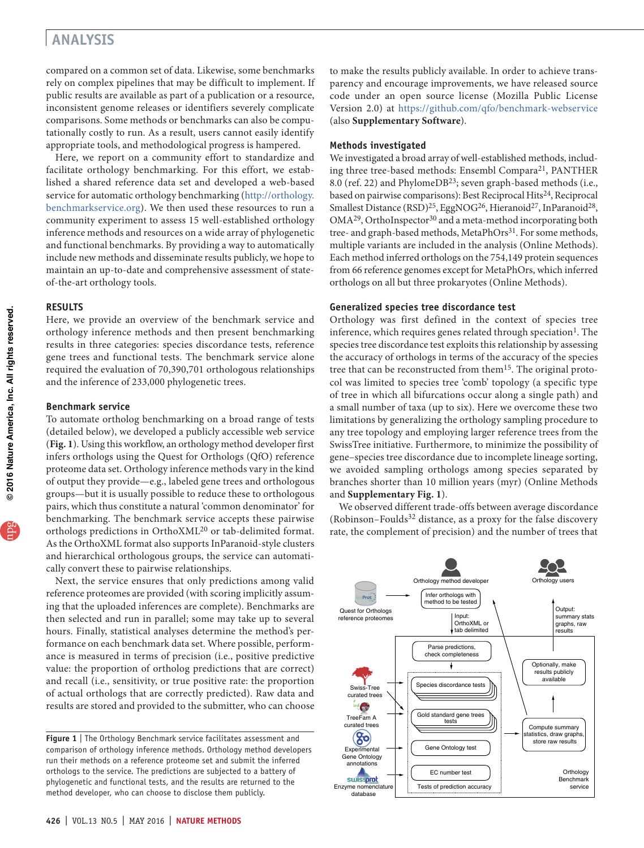compared on a common set of data. Likewise, some benchmarks rely on complex pipelines that may be difficult to implement. If public results are available as part of a publication or a resource, inconsistent genome releases or identifiers severely complicate comparisons. Some methods or benchmarks can also be computationally costly to run. As a result, users cannot easily identify appropriate tools, and methodological progress is hampered.

Here, we report on a community effort to standardize and facilitate orthology benchmarking. For this effort, we established a shared reference data set and developed a web-based service for automatic orthology benchmarking ([http://orthology.](http://orthology.benchmarkservice.org) [benchmarkservice.org\)](http://orthology.benchmarkservice.org). We then used these resources to run a community experiment to assess 15 well-established orthology inference methods and resources on a wide array of phylogenetic and functional benchmarks. By providing a way to automatically include new methods and disseminate results publicly, we hope to maintain an up-to-date and comprehensive assessment of stateof-the-art orthology tools.

### **RESULTS**

Here, we provide an overview of the benchmark service and orthology inference methods and then present benchmarking results in three categories: species discordance tests, reference gene trees and functional tests. The benchmark service alone required the evaluation of 70,390,701 orthologous relationships and the inference of 233,000 phylogenetic trees.

### **Benchmark service**

To automate ortholog benchmarking on a broad range of tests (detailed below), we developed a publicly accessible web service (**Fig. 1**). Using this workflow, an orthology method developer first infers orthologs using the Quest for Orthologs (QfO) reference proteome data set. Orthology inference methods vary in the kind of output they provide—e.g., labeled gene trees and orthologous groups—but it is usually possible to reduce these to orthologous pairs, which thus constitute a natural 'common denominator' for benchmarking. The benchmark service accepts these pairwise orthologs predictions in OrthoXML20 or tab-delimited format. As the OrthoXML format also supports InParanoid-style clusters and hierarchical orthologous groups, the service can automatically convert these to pairwise relationships.

Next, the service ensures that only predictions among valid reference proteomes are provided (with scoring implicitly assuming that the uploaded inferences are complete). Benchmarks are then selected and run in parallel; some may take up to several hours. Finally, statistical analyses determine the method's performance on each benchmark data set. Where possible, performance is measured in terms of precision (i.e., positive predictive value: the proportion of ortholog predictions that are correct) and recall (i.e., sensitivity, or true positive rate: the proportion of actual orthologs that are correctly predicted). Raw data and results are stored and provided to the submitter, who can choose to make the results publicly available. In order to achieve transparency and encourage improvements, we have released source code under an open source license (Mozilla Public License Version 2.0) at <https://github.com/qfo/benchmark-webservice> (also **Supplementary Software**).

### **Methods investigated**

We investigated a broad array of well-established methods, including three tree-based methods: Ensembl Compara<sup>21</sup>, PANTHER 8.0 (ref. 22) and PhylomeDB<sup>23</sup>; seven graph-based methods (i.e., based on pairwise comparisons): Best Reciprocal Hits<sup>24</sup>, Reciprocal Smallest Distance (RSD)<sup>25</sup>, EggNOG<sup>26</sup>, Hieranoid<sup>27</sup>, InParanoid<sup>28</sup>,  $OMA<sup>29</sup>$ , OrthoInspector<sup>30</sup> and a meta-method incorporating both tree- and graph-based methods, MetaPhOrs<sup>31</sup>. For some methods, multiple variants are included in the analysis (Online Methods). Each method inferred orthologs on the 754,149 protein sequences from 66 reference genomes except for MetaPhOrs, which inferred orthologs on all but three prokaryotes (Online Methods).

#### **Generalized species tree discordance test**

Orthology was first defined in the context of species tree inference, which requires genes related through speciation<sup>1</sup>. The species tree discordance test exploits this relationship by assessing the accuracy of orthologs in terms of the accuracy of the species tree that can be reconstructed from them<sup>15</sup>. The original protocol was limited to species tree 'comb' topology (a specific type of tree in which all bifurcations occur along a single path) and a small number of taxa (up to six). Here we overcome these two limitations by generalizing the orthology sampling procedure to any tree topology and employing larger reference trees from the SwissTree initiative. Furthermore, to minimize the possibility of gene–species tree discordance due to incomplete lineage sorting, we avoided sampling orthologs among species separated by branches shorter than 10 million years (myr) (Online Methods and **Supplementary Fig. 1**).

We observed different trade-offs between average discordance (Robinson–Foulds<sup>32</sup> distance, as a proxy for the false discovery rate, the complement of precision) and the number of trees that



**Figure 1** | The Orthology Benchmark service facilitates assessment and comparison of orthology inference methods. Orthology method developers run their methods on a reference proteome set and submit the inferred orthologs to the service. The predictions are subjected to a battery of phylogenetic and functional tests, and the results are returned to the method developer, who can choose to disclose them publicly.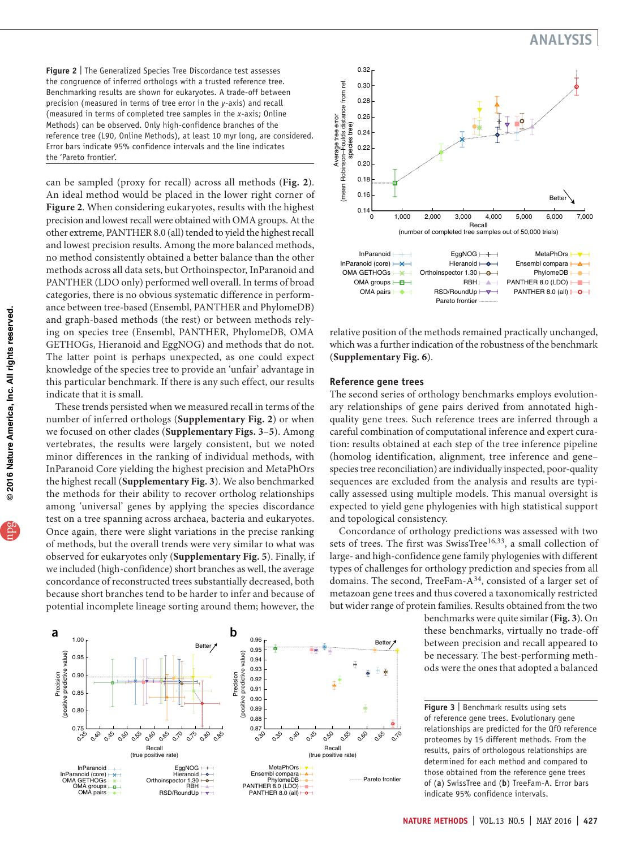**Figure 2** | The Generalized Species Tree Discordance test assesses the congruence of inferred orthologs with a trusted reference tree. Benchmarking results are shown for eukaryotes. A trade-off between precision (measured in terms of tree error in the *y*-axis) and recall (measured in terms of completed tree samples in the *x*-axis; Online Methods) can be observed. Only high-confidence branches of the reference tree (L90, Online Methods), at least 10 myr long, are considered. Error bars indicate 95% confidence intervals and the line indicates the 'Pareto frontier'.

can be sampled (proxy for recall) across all methods (**Fig. 2**). An ideal method would be placed in the lower right corner of **Figure 2**. When considering eukaryotes, results with the highest precision and lowest recall were obtained with OMA groups. At the other extreme, PANTHER 8.0 (all) tended to yield the highest recall and lowest precision results. Among the more balanced methods, no method consistently obtained a better balance than the other methods across all data sets, but Orthoinspector, InParanoid and PANTHER (LDO only) performed well overall. In terms of broad categories, there is no obvious systematic difference in performance between tree-based (Ensembl, PANTHER and PhylomeDB) and graph-based methods (the rest) or between methods relying on species tree (Ensembl, PANTHER, PhylomeDB, OMA GETHOGs, Hieranoid and EggNOG) and methods that do not. The latter point is perhaps unexpected, as one could expect knowledge of the species tree to provide an 'unfair' advantage in this particular benchmark. If there is any such effect, our results indicate that it is small.

These trends persisted when we measured recall in terms of the number of inferred orthologs (**Supplementary Fig. 2**) or when we focused on other clades (**Supplementary Figs. 3**–**5**). Among vertebrates, the results were largely consistent, but we noted minor differences in the ranking of individual methods, with InParanoid Core yielding the highest precision and MetaPhOrs the highest recall (**Supplementary Fig. 3**). We also benchmarked the methods for their ability to recover ortholog relationships among 'universal' genes by applying the species discordance test on a tree spanning across archaea, bacteria and eukaryotes. Once again, there were slight variations in the precise ranking of methods, but the overall trends were very similar to what was observed for eukaryotes only (**Supplementary Fig. 5**). Finally, if we included (high-confidence) short branches as well, the average concordance of reconstructed trees substantially decreased, both because short branches tend to be harder to infer and because of potential incomplete lineage sorting around them; however, the





relative position of the methods remained practically unchanged, which was a further indication of the robustness of the benchmark (**Supplementary Fig. 6**).

### **Reference gene trees**

The second series of orthology benchmarks employs evolutionary relationships of gene pairs derived from annotated highquality gene trees. Such reference trees are inferred through a careful combination of computational inference and expert curation: results obtained at each step of the tree inference pipeline (homolog identification, alignment, tree inference and gene– species tree reconciliation) are individually inspected, poor-quality sequences are excluded from the analysis and results are typically assessed using multiple models. This manual oversight is expected to yield gene phylogenies with high statistical support and topological consistency.

Concordance of orthology predictions was assessed with two sets of trees. The first was SwissTree<sup>16,33</sup>, a small collection of large- and high-confidence gene family phylogenies with different types of challenges for orthology prediction and species from all domains. The second, TreeFam-A<sup>34</sup>, consisted of a larger set of metazoan gene trees and thus covered a taxonomically restricted but wider range of protein families. Results obtained from the two

benchmarks were quite similar (**Fig. 3**). On these benchmarks, virtually no trade-off between precision and recall appeared to be necessary. The best-performing methods were the ones that adopted a balanced

**Figure 3** | Benchmark results using sets of reference gene trees. Evolutionary gene relationships are predicted for the QfO reference proteomes by 15 different methods. From the results, pairs of orthologous relationships are determined for each method and compared to those obtained from the reference gene trees of (**a**) SwissTree and (**b**) TreeFam-A. Error bars indicate 95% confidence intervals.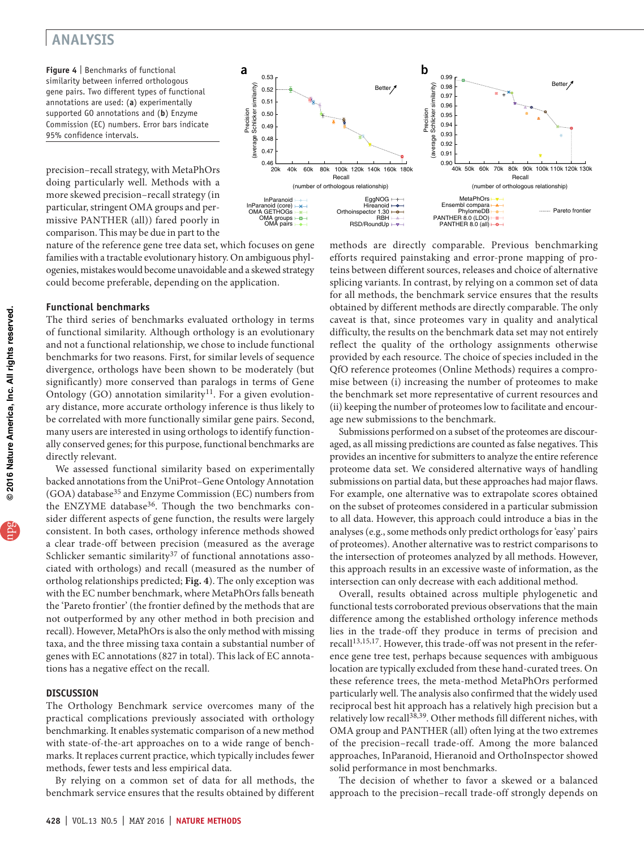**Figure 4** | Benchmarks of functional similarity between inferred orthologous gene pairs. Two different types of functional annotations are used: (**a**) experimentally supported GO annotations and (**b**) Enzyme Commission (EC) numbers. Error bars indicate 95% confidence intervals.

precision–recall strategy, with MetaPhOrs doing particularly well. Methods with a more skewed precision–recall strategy (in particular, stringent OMA groups and permissive PANTHER (all)) fared poorly in comparison. This may be due in part to the



nature of the reference gene tree data set, which focuses on gene families with a tractable evolutionary history. On ambiguous phylogenies, mistakes would become unavoidable and a skewed strategy could become preferable, depending on the application.

### **Functional benchmarks**

The third series of benchmarks evaluated orthology in terms of functional similarity. Although orthology is an evolutionary and not a functional relationship, we chose to include functional benchmarks for two reasons. First, for similar levels of sequence divergence, orthologs have been shown to be moderately (but significantly) more conserved than paralogs in terms of Gene Ontology (GO) annotation similarity $11$ . For a given evolutionary distance, more accurate orthology inference is thus likely to be correlated with more functionally similar gene pairs. Second, many users are interested in using orthologs to identify functionally conserved genes; for this purpose, functional benchmarks are directly relevant.

We assessed functional similarity based on experimentally backed annotations from the UniProt–Gene Ontology Annotation (GOA) database<sup>35</sup> and Enzyme Commission (EC) numbers from the ENZYME database<sup>36</sup>. Though the two benchmarks consider different aspects of gene function, the results were largely consistent. In both cases, orthology inference methods showed a clear trade-off between precision (measured as the average Schlicker semantic similarity<sup>37</sup> of functional annotations associated with orthologs) and recall (measured as the number of ortholog relationships predicted; **Fig. 4**). The only exception was with the EC number benchmark, where MetaPhOrs falls beneath the 'Pareto frontier' (the frontier defined by the methods that are not outperformed by any other method in both precision and recall). However, MetaPhOrs is also the only method with missing taxa, and the three missing taxa contain a substantial number of genes with EC annotations (827 in total). This lack of EC annotations has a negative effect on the recall.

### **DISCUSSION**

The Orthology Benchmark service overcomes many of the practical complications previously associated with orthology benchmarking. It enables systematic comparison of a new method with state-of-the-art approaches on to a wide range of benchmarks. It replaces current practice, which typically includes fewer methods, fewer tests and less empirical data.

By relying on a common set of data for all methods, the benchmark service ensures that the results obtained by different

methods are directly comparable. Previous benchmarking efforts required painstaking and error-prone mapping of proteins between different sources, releases and choice of alternative splicing variants. In contrast, by relying on a common set of data for all methods, the benchmark service ensures that the results obtained by different methods are directly comparable. The only caveat is that, since proteomes vary in quality and analytical difficulty, the results on the benchmark data set may not entirely reflect the quality of the orthology assignments otherwise provided by each resource. The choice of species included in the QfO reference proteomes (Online Methods) requires a compromise between (i) increasing the number of proteomes to make the benchmark set more representative of current resources and (ii) keeping the number of proteomes low to facilitate and encourage new submissions to the benchmark.

Submissions performed on a subset of the proteomes are discouraged, as all missing predictions are counted as false negatives. This provides an incentive for submitters to analyze the entire reference proteome data set. We considered alternative ways of handling submissions on partial data, but these approaches had major flaws. For example, one alternative was to extrapolate scores obtained on the subset of proteomes considered in a particular submission to all data. However, this approach could introduce a bias in the analyses (e.g., some methods only predict orthologs for 'easy' pairs of proteomes). Another alternative was to restrict comparisons to the intersection of proteomes analyzed by all methods. However, this approach results in an excessive waste of information, as the intersection can only decrease with each additional method.

Overall, results obtained across multiple phylogenetic and functional tests corroborated previous observations that the main difference among the established orthology inference methods lies in the trade-off they produce in terms of precision and recall<sup>13,15,17</sup>. However, this trade-off was not present in the reference gene tree test, perhaps because sequences with ambiguous location are typically excluded from these hand-curated trees. On these reference trees, the meta-method MetaPhOrs performed particularly well. The analysis also confirmed that the widely used reciprocal best hit approach has a relatively high precision but a relatively low recall<sup>38,39</sup>. Other methods fill different niches, with OMA group and PANTHER (all) often lying at the two extremes of the precision–recall trade-off. Among the more balanced approaches, InParanoid, Hieranoid and OrthoInspector showed solid performance in most benchmarks.

The decision of whether to favor a skewed or a balanced approach to the precision–recall trade-off strongly depends on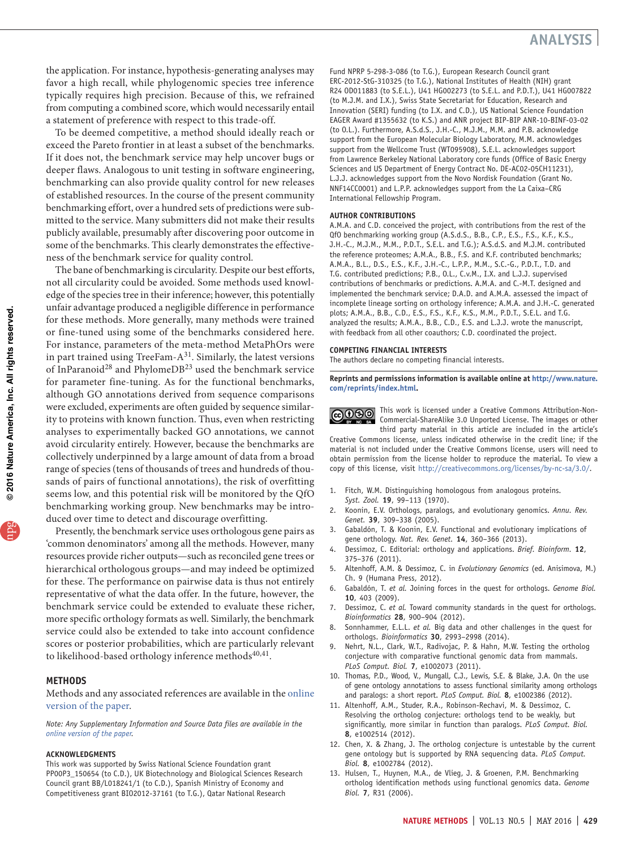the application. For instance, hypothesis-generating analyses may favor a high recall, while phylogenomic species tree inference typically requires high precision. Because of this, we refrained from computing a combined score, which would necessarily entail a statement of preference with respect to this trade-off.

To be deemed competitive, a method should ideally reach or exceed the Pareto frontier in at least a subset of the benchmarks. If it does not, the benchmark service may help uncover bugs or deeper flaws. Analogous to unit testing in software engineering, benchmarking can also provide quality control for new releases of established resources. In the course of the present community benchmarking effort, over a hundred sets of predictions were submitted to the service. Many submitters did not make their results publicly available, presumably after discovering poor outcome in some of the benchmarks. This clearly demonstrates the effectiveness of the benchmark service for quality control.

The bane of benchmarking is circularity. Despite our best efforts, not all circularity could be avoided. Some methods used knowledge of the species tree in their inference; however, this potentially unfair advantage produced a negligible difference in performance for these methods. More generally, many methods were trained or fine-tuned using some of the benchmarks considered here. For instance, parameters of the meta-method MetaPhOrs were in part trained using TreeFam- $A^{31}$ . Similarly, the latest versions of InParanoid28 and PhylomeDB23 used the benchmark service for parameter fine-tuning. As for the functional benchmarks, although GO annotations derived from sequence comparisons were excluded, experiments are often guided by sequence similarity to proteins with known function. Thus, even when restricting analyses to experimentally backed GO annotations, we cannot avoid circularity entirely. However, because the benchmarks are collectively underpinned by a large amount of data from a broad range of species (tens of thousands of trees and hundreds of thousands of pairs of functional annotations), the risk of overfitting seems low, and this potential risk will be monitored by the QfO benchmarking working group. New benchmarks may be introduced over time to detect and discourage overfitting.

Presently, the benchmark service uses orthologous gene pairs as 'common denominators' among all the methods. However, many resources provide richer outputs—such as reconciled gene trees or hierarchical orthologous groups—and may indeed be optimized for these. The performance on pairwise data is thus not entirely representative of what the data offer. In the future, however, the benchmark service could be extended to evaluate these richer, more specific orthology formats as well. Similarly, the benchmark service could also be extended to take into account confidence scores or posterior probabilities, which are particularly relevant to likelihood-based orthology inference methods<sup>40,41</sup>.

#### **Methods**

Methods and any associated references are available in the [online](http://dx.doi.org/10.1038/nmeth.3830)  [version of the paper](http://dx.doi.org/10.1038/nmeth.3830).

*Note: Any Supplementary Information and Source Data files are available in the [online version of the paper](http://dx.doi.org/10.1038/nmeth.3830).*

#### **Acknowledgments**

This work was supported by Swiss National Science Foundation grant PP00P3\_150654 (to C.D.), UK Biotechnology and Biological Sciences Research Council grant BB/L018241/1 (to C.D.), Spanish Ministry of Economy and Competitiveness grant BIO2012-37161 (to T.G.), Qatar National Research

Fund NPRP 5-298-3-086 (to T.G.), European Research Council grant ERC-2012-StG-310325 (to T.G.), National Institutes of Health (NIH) grant R24 OD011883 (to S.E.L.), U41 HG002273 (to S.E.L. and P.D.T.), U41 HG007822 (to M.J.M. and I.X.), Swiss State Secretariat for Education, Research and Innovation (SERI) funding (to I.X. and C.D.), US National Science Foundation EAGER Award #1355632 (to K.S.) and ANR project BIP-BIP ANR-10-BINF-03-02 (to O.L.). Furthermore, A.S.d.S., J.H.-C., M.J.M., M.M. and P.B. acknowledge support from the European Molecular Biology Laboratory, M.M. acknowledges support from the Wellcome Trust (WT095908), S.E.L. acknowledges support from Lawrence Berkeley National Laboratory core funds (Office of Basic Energy Sciences and US Department of Energy Contract No. DE-AC02-05CH11231), L.J.J. acknowledges support from the Novo Nordisk Foundation (Grant No. NNF14CC0001) and L.P.P. acknowledges support from the La Caixa–CRG International Fellowship Program.

#### **AUTHOR CONTRIBUTIONS**

A.M.A. and C.D. conceived the project, with contributions from the rest of the QfO benchmarking working group (A.S.d.S., B.B., C.P., E.S., F.S., K.F., K.S., J.H.-C., M.J.M., M.M., P.D.T., S.E.L. and T.G.); A.S.d.S. and M.J.M. contributed the reference proteomes; A.M.A., B.B., F.S. and K.F. contributed benchmarks; A.M.A., B.L., D.S., E.S., K.F., J.H.-C., L.P.P., M.M., S.C.-G., P.D.T., T.D. and T.G. contributed predictions; P.B., O.L., C.v.M., I.X. and L.J.J. supervised contributions of benchmarks or predictions. A.M.A. and C.-M.T. designed and implemented the benchmark service; D.A.D. and A.M.A. assessed the impact of incomplete lineage sorting on orthology inference; A.M.A. and J.H.-C. generated plots; A.M.A., B.B., C.D., E.S., F.S., K.F., K.S., M.M., P.D.T., S.E.L. and T.G. analyzed the results; A.M.A., B.B., C.D., E.S. and L.J.J. wrote the manuscript, with feedback from all other coauthors; C.D. coordinated the project.

#### **COMPETING FINANCIAL INTERESTS**

The authors declare no competing financial interests.

**Reprints and permissions information is available online at [http://www.nature.](http://www.nature.com/reprints/index.html) [com/reprints/index.html.](http://www.nature.com/reprints/index.html)**

This work is licensed under a Creative Commons Attribution-Non-**@000** Commercial-ShareAlike 3.0 Unported License. The images or other third party material in this article are included in the article's

Creative Commons license, unless indicated otherwise in the credit line; if the material is not included under the Creative Commons license, users will need to obtain permission from the license holder to reproduce the material. To view a copy of this license, visit [http://creativecommons.org/licenses/by-nc-sa/3.0/.](http://creativecommons.org/licenses/by-nc-sa/3.0/)

- 1. Fitch, W.M. Distinguishing homologous from analogous proteins. *Syst. Zool.* **19**, 99–113 (1970).
- 2. Koonin, E.V. Orthologs, paralogs, and evolutionary genomics. *Annu. Rev. Genet.* **39**, 309–338 (2005).
- 3. Gabaldón, T. & Koonin, E.V. Functional and evolutionary implications of gene orthology. *Nat. Rev. Genet.* **14**, 360–366 (2013).
- 4. Dessimoz, C. Editorial: orthology and applications. *Brief. Bioinform.* **12**, 375–376 (2011).
- 5. Altenhoff, A.M. & Dessimoz, C. in *Evolutionary Genomics* (ed. Anisimova, M.) Ch. 9 (Humana Press, 2012).
- 6. Gabaldón, T. *et al.* Joining forces in the quest for orthologs. *Genome Biol.* **10**, 403 (2009).
- 7. Dessimoz, C. *et al.* Toward community standards in the quest for orthologs. *Bioinformatics* **28**, 900–904 (2012).
- 8. Sonnhammer, E.L.L. *et al.* Big data and other challenges in the quest for orthologs. *Bioinformatics* **30**, 2993–2998 (2014).
- 9. Nehrt, N.L., Clark, W.T., Radivojac, P. & Hahn, M.W. Testing the ortholog conjecture with comparative functional genomic data from mammals. *PLoS Comput. Biol.* **7**, e1002073 (2011).
- 10. Thomas, P.D., Wood, V., Mungall, C.J., Lewis, S.E. & Blake, J.A. On the use of gene ontology annotations to assess functional similarity among orthologs and paralogs: a short report. *PLoS Comput. Biol.* **8**, e1002386 (2012).
- 11. Altenhoff, A.M., Studer, R.A., Robinson-Rechavi, M. & Dessimoz, C. Resolving the ortholog conjecture: orthologs tend to be weakly, but significantly, more similar in function than paralogs. *PLoS Comput. Biol.* **8**, e1002514 (2012).
- 12. Chen, X. & Zhang, J. The ortholog conjecture is untestable by the current gene ontology but is supported by RNA sequencing data. *PLoS Comput. Biol.* **8**, e1002784 (2012).
- 13. Hulsen, T., Huynen, M.A., de Vlieg, J. & Groenen, P.M. Benchmarking ortholog identification methods using functional genomics data. *Genome Biol.* **7**, R31 (2006).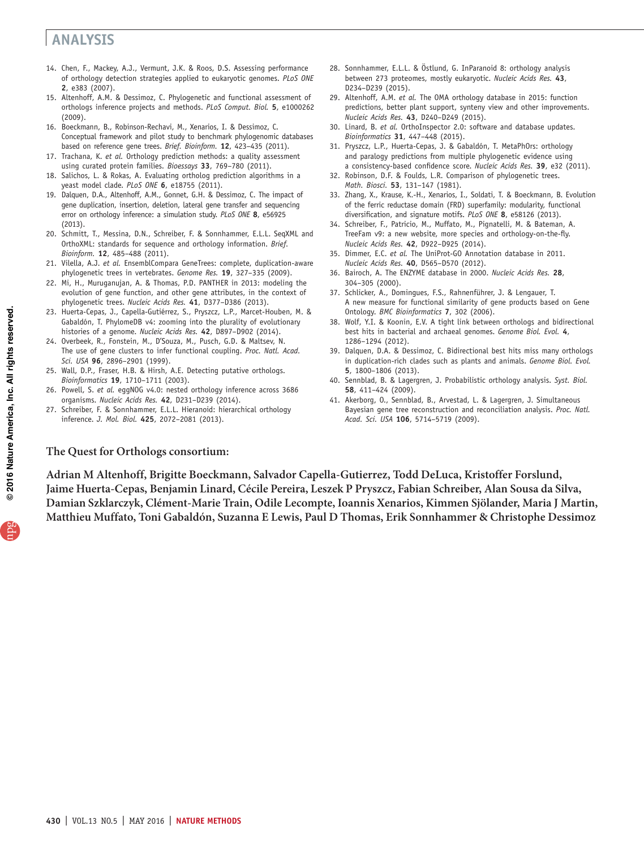- 14. Chen, F., Mackey, A.J., Vermunt, J.K. & Roos, D.S. Assessing performance of orthology detection strategies applied to eukaryotic genomes. *PLoS ONE* **2**, e383 (2007).
- 15. Altenhoff, A.M. & Dessimoz, C. Phylogenetic and functional assessment of orthologs inference projects and methods. *PLoS Comput. Biol.* **5**, e1000262 (2009).
- 16. Boeckmann, B., Robinson-Rechavi, M., Xenarios, I. & Dessimoz, C. Conceptual framework and pilot study to benchmark phylogenomic databases based on reference gene trees. *Brief. Bioinform.* **12**, 423–435 (2011).
- 17. Trachana, K. *et al.* Orthology prediction methods: a quality assessment using curated protein families. *Bioessays* **33**, 769–780 (2011).
- 18. Salichos, L. & Rokas, A. Evaluating ortholog prediction algorithms in a yeast model clade. *PLoS ONE* **6**, e18755 (2011).
- 19. Dalquen, D.A., Altenhoff, A.M., Gonnet, G.H. & Dessimoz, C. The impact of gene duplication, insertion, deletion, lateral gene transfer and sequencing error on orthology inference: a simulation study. *PLoS ONE* **8**, e56925 (2013).
- 20. Schmitt, T., Messina, D.N., Schreiber, F. & Sonnhammer, E.L.L. SeqXML and OrthoXML: standards for sequence and orthology information. *Brief. Bioinform.* **12**, 485–488 (2011).
- 21. Vilella, A.J. *et al.* EnsemblCompara GeneTrees: complete, duplication-aware phylogenetic trees in vertebrates. *Genome Res.* **19**, 327–335 (2009).
- 22. Mi, H., Muruganujan, A. & Thomas, P.D. PANTHER in 2013: modeling the evolution of gene function, and other gene attributes, in the context of phylogenetic trees. *Nucleic Acids Res.* **41**, D377–D386 (2013).
- 23. Huerta-Cepas, J., Capella-Gutiérrez, S., Pryszcz, L.P., Marcet-Houben, M. & Gabaldón, T. PhylomeDB v4: zooming into the plurality of evolutionary histories of a genome. *Nucleic Acids Res.* **42**, D897–D902 (2014).
- 24. Overbeek, R., Fonstein, M., D'Souza, M., Pusch, G.D. & Maltsev, N. The use of gene clusters to infer functional coupling. *Proc. Natl. Acad. Sci. USA* **96**, 2896–2901 (1999).
- 25. Wall, D.P., Fraser, H.B. & Hirsh, A.E. Detecting putative orthologs. *Bioinformatics* **19**, 1710–1711 (2003).
- 26. Powell, S. *et al.* eggNOG v4.0: nested orthology inference across 3686 organisms. *Nucleic Acids Res.* **42**, D231–D239 (2014).
- 27. Schreiber, F. & Sonnhammer, E.L.L. Hieranoid: hierarchical orthology inference. *J. Mol. Biol.* **425**, 2072–2081 (2013).
- 28. Sonnhammer, E.L.L. & Östlund, G. InParanoid 8: orthology analysis between 273 proteomes, mostly eukaryotic. *Nucleic Acids Res.* **43**, D234–D239 (2015).
- 29. Altenhoff, A.M. *et al.* The OMA orthology database in 2015: function predictions, better plant support, synteny view and other improvements. *Nucleic Acids Res.* **43**, D240–D249 (2015).
- 30. Linard, B. *et al.* OrthoInspector 2.0: software and database updates. *Bioinformatics* **31**, 447–448 (2015).
- 31. Pryszcz, L.P., Huerta-Cepas, J. & Gabaldón, T. MetaPhOrs: orthology and paralogy predictions from multiple phylogenetic evidence using a consistency-based confidence score. *Nucleic Acids Res.* **39**, e32 (2011).
- 32. Robinson, D.F. & Foulds, L.R. Comparison of phylogenetic trees. *Math. Biosci.* **53**, 131–147 (1981).
- 33. Zhang, X., Krause, K.-H., Xenarios, I., Soldati, T. & Boeckmann, B. Evolution of the ferric reductase domain (FRD) superfamily: modularity, functional diversification, and signature motifs. *PLoS ONE* **8**, e58126 (2013).
- 34. Schreiber, F., Patricio, M., Muffato, M., Pignatelli, M. & Bateman, A. TreeFam v9: a new website, more species and orthology-on-the-fly. *Nucleic Acids Res.* **42**, D922–D925 (2014).
- 35. Dimmer, E.C. *et al.* The UniProt-GO Annotation database in 2011. *Nucleic Acids Res.* **40**, D565–D570 (2012).
- 36. Bairoch, A. The ENZYME database in 2000. *Nucleic Acids Res.* **28**, 304–305 (2000).
- 37. Schlicker, A., Domingues, F.S., Rahnenführer, J. & Lengauer, T. A new measure for functional similarity of gene products based on Gene Ontology. *BMC Bioinformatics* **7**, 302 (2006).
- 38. Wolf, Y.I. & Koonin, E.V. A tight link between orthologs and bidirectional best hits in bacterial and archaeal genomes. *Genome Biol. Evol.* **4**, 1286–1294 (2012).
- 39. Dalquen, D.A. & Dessimoz, C. Bidirectional best hits miss many orthologs in duplication-rich clades such as plants and animals. *Genome Biol. Evol.* **5**, 1800–1806 (2013).
- 40. Sennblad, B. & Lagergren, J. Probabilistic orthology analysis. *Syst. Biol.* **58**, 411–424 (2009).
- 41. Akerborg, O., Sennblad, B., Arvestad, L. & Lagergren, J. Simultaneous Bayesian gene tree reconstruction and reconciliation analysis. *Proc. Natl. Acad. Sci. USA* **106**, 5714–5719 (2009).

### **The Quest for Orthologs consortium:**

**Adrian M Altenhoff, Brigitte Boeckmann, Salvador Capella-Gutierrez, Todd DeLuca, Kristoffer Forslund, Jaime Huerta-Cepas, Benjamin Linard, Cécile Pereira, Leszek P Pryszcz, Fabian Schreiber, Alan Sousa da Silva, Damian Szklarczyk, Clément-Marie Train, Odile Lecompte, Ioannis Xenarios, Kimmen Sjölander, Maria J Martin, Matthieu Muffato, Toni Gabaldón, Suzanna E Lewis, Paul D Thomas, Erik Sonnhammer & Christophe Dessimoz**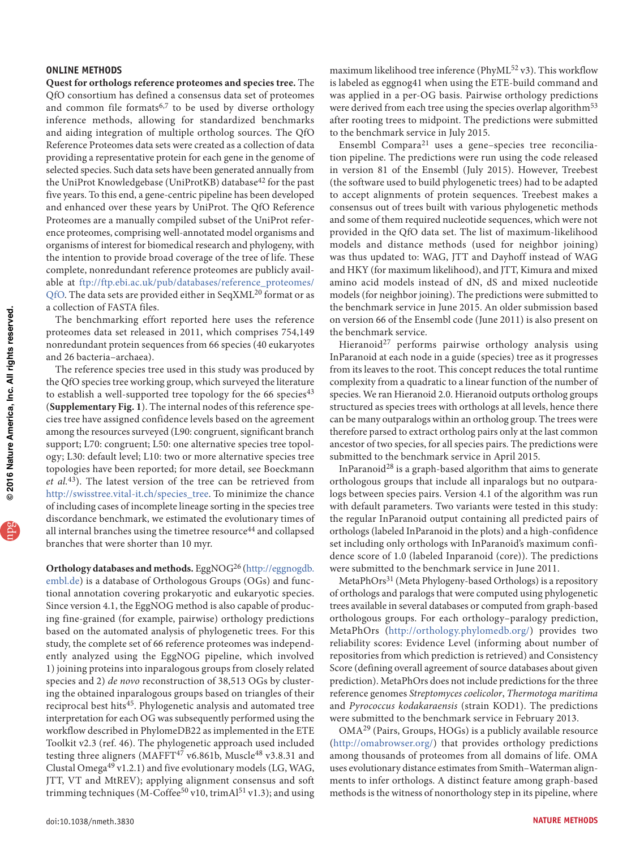### **ONLINE METHODS**

**Quest for orthologs reference proteomes and species tree.** The QfO consortium has defined a consensus data set of proteomes and common file formats<sup>6,7</sup> to be used by diverse orthology inference methods, allowing for standardized benchmarks and aiding integration of multiple ortholog sources. The QfO Reference Proteomes data sets were created as a collection of data providing a representative protein for each gene in the genome of selected species. Such data sets have been generated annually from the UniProt Knowledgebase (UniProtKB) database<sup>42</sup> for the past five years. To this end, a gene-centric pipeline has been developed and enhanced over these years by UniProt. The QfO Reference Proteomes are a manually compiled subset of the UniProt reference proteomes, comprising well-annotated model organisms and organisms of interest for biomedical research and phylogeny, with the intention to provide broad coverage of the tree of life. These complete, nonredundant reference proteomes are publicly available at [ftp://ftp.ebi.ac.uk/pub/databases/reference\\_proteomes/](ftp://ftp.ebi.ac.uk/pub/databases/reference_proteomes/QfO) [QfO](ftp://ftp.ebi.ac.uk/pub/databases/reference_proteomes/QfO). The data sets are provided either in SeqXML<sup>20</sup> format or as a collection of FASTA files.

The benchmarking effort reported here uses the reference proteomes data set released in 2011, which comprises 754,149 nonredundant protein sequences from 66 species (40 eukaryotes and 26 bacteria–archaea).

The reference species tree used in this study was produced by the QfO species tree working group, which surveyed the literature to establish a well-supported tree topology for the 66 species $43$ (**Supplementary Fig. 1**). The internal nodes of this reference species tree have assigned confidence levels based on the agreement among the resources surveyed (L90: congruent, significant branch support; L70: congruent; L50: one alternative species tree topology; L30: default level; L10: two or more alternative species tree topologies have been reported; for more detail, see Boeckmann *et al.*43). The latest version of the tree can be retrieved from [http://swisstree.vital-it.ch/species\\_tree](http://swisstree.vital-it.ch/species_tree). To minimize the chance of including cases of incomplete lineage sorting in the species tree discordance benchmark, we estimated the evolutionary times of all internal branches using the timetree resource<sup>44</sup> and collapsed branches that were shorter than 10 myr.

**Orthology databases and methods.** EggNOG26 [\(http://eggnogdb.](http://eggnogdb.embl.de) [embl.de](http://eggnogdb.embl.de)) is a database of Orthologous Groups (OGs) and functional annotation covering prokaryotic and eukaryotic species. Since version 4.1, the EggNOG method is also capable of producing fine-grained (for example, pairwise) orthology predictions based on the automated analysis of phylogenetic trees. For this study, the complete set of 66 reference proteomes was independently analyzed using the EggNOG pipeline, which involved 1) joining proteins into inparalogous groups from closely related species and 2) *de novo* reconstruction of 38,513 OGs by clustering the obtained inparalogous groups based on triangles of their reciprocal best hits<sup>45</sup>. Phylogenetic analysis and automated tree interpretation for each OG was subsequently performed using the workflow described in PhylomeDB22 as implemented in the ETE Toolkit v2.3 (ref. 46). The phylogenetic approach used included testing three aligners (MAFFT $47$  v6.861b, Muscle $48$  v3.8.31 and Clustal Omega49 v1.2.1) and five evolutionary models (LG, WAG, JTT, VT and MtREV); applying alignment consensus and soft trimming techniques (M-Coffee<sup>50</sup> v10, trimAl<sup>51</sup> v1.3); and using maximum likelihood tree inference (PhyML52 v3). This workflow is labeled as eggnog41 when using the ETE-build command and was applied in a per-OG basis. Pairwise orthology predictions were derived from each tree using the species overlap algorithm<sup>53</sup> after rooting trees to midpoint. The predictions were submitted to the benchmark service in July 2015.

Ensembl Compara<sup>21</sup> uses a gene-species tree reconciliation pipeline. The predictions were run using the code released in version 81 of the Ensembl (July 2015). However, Treebest (the software used to build phylogenetic trees) had to be adapted to accept alignments of protein sequences. Treebest makes a consensus out of trees built with various phylogenetic methods and some of them required nucleotide sequences, which were not provided in the QfO data set. The list of maximum-likelihood models and distance methods (used for neighbor joining) was thus updated to: WAG, JTT and Dayhoff instead of WAG and HKY (for maximum likelihood), and JTT, Kimura and mixed amino acid models instead of dN, dS and mixed nucleotide models (for neighbor joining). The predictions were submitted to the benchmark service in June 2015. An older submission based on version 66 of the Ensembl code (June 2011) is also present on the benchmark service.

Hieranoid<sup>27</sup> performs pairwise orthology analysis using InParanoid at each node in a guide (species) tree as it progresses from its leaves to the root. This concept reduces the total runtime complexity from a quadratic to a linear function of the number of species. We ran Hieranoid 2.0. Hieranoid outputs ortholog groups structured as species trees with orthologs at all levels, hence there can be many outparalogs within an ortholog group. The trees were therefore parsed to extract ortholog pairs only at the last common ancestor of two species, for all species pairs. The predictions were submitted to the benchmark service in April 2015.

InParanoid<sup>28</sup> is a graph-based algorithm that aims to generate orthologous groups that include all inparalogs but no outparalogs between species pairs. Version 4.1 of the algorithm was run with default parameters. Two variants were tested in this study: the regular InParanoid output containing all predicted pairs of orthologs (labeled InParanoid in the plots) and a high-confidence set including only orthologs with InParanoid's maximum confidence score of 1.0 (labeled Inparanoid (core)). The predictions were submitted to the benchmark service in June 2011.

MetaPhOrs31 (Meta Phylogeny-based Orthologs) is a repository of orthologs and paralogs that were computed using phylogenetic trees available in several databases or computed from graph-based orthologous groups. For each orthology–paralogy prediction, MetaPhOrs ([http://orthology.phylomedb.org/\)](http://orthology.phylomedb.org/) provides two reliability scores: Evidence Level (informing about number of repositories from which prediction is retrieved) and Consistency Score (defining overall agreement of source databases about given prediction). MetaPhOrs does not include predictions for the three reference genomes *Streptomyces coelicolor*, *Thermotoga maritima* and *Pyrococcus kodakaraensis* (strain KOD1). The predictions were submitted to the benchmark service in February 2013.

OMA29 (Pairs, Groups, HOGs) is a publicly available resource ([http://omabrowser.org/\)](http://omabrowser.org/) that provides orthology predictions among thousands of proteomes from all domains of life. OMA uses evolutionary distance estimates from Smith–Waterman alignments to infer orthologs. A distinct feature among graph-based methods is the witness of nonorthology step in its pipeline, where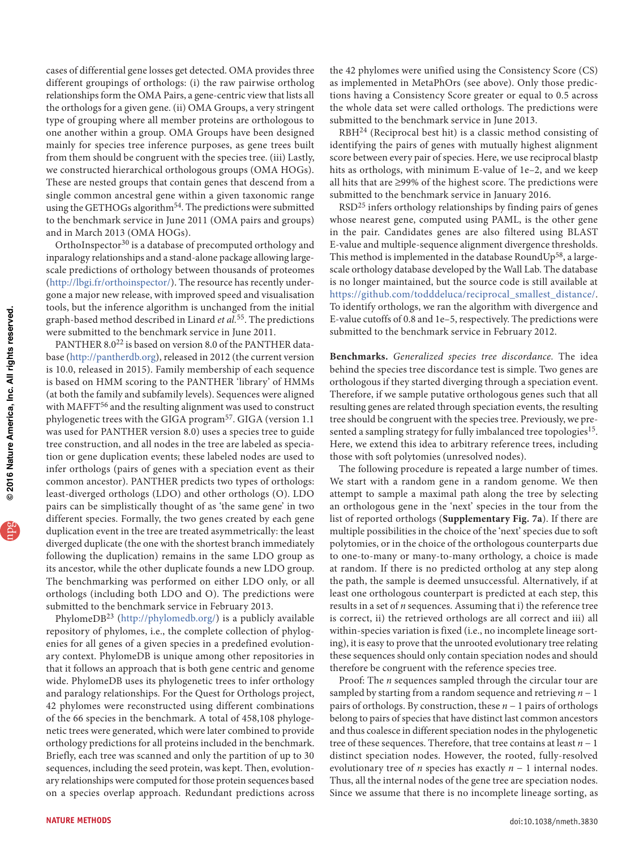cases of differential gene losses get detected. OMA provides three different groupings of orthologs: (i) the raw pairwise ortholog relationships form the OMA Pairs, a gene-centric view that lists all the orthologs for a given gene. (ii) OMA Groups, a very stringent type of grouping where all member proteins are orthologous to one another within a group. OMA Groups have been designed mainly for species tree inference purposes, as gene trees built from them should be congruent with the species tree. (iii) Lastly, we constructed hierarchical orthologous groups (OMA HOGs). These are nested groups that contain genes that descend from a single common ancestral gene within a given taxonomic range using the GETHOGs algorithm<sup>54</sup>. The predictions were submitted to the benchmark service in June 2011 (OMA pairs and groups) and in March 2013 (OMA HOGs).

OrthoInspector<sup>30</sup> is a database of precomputed orthology and inparalogy relationships and a stand-alone package allowing largescale predictions of orthology between thousands of proteomes (<http://lbgi.fr/orthoinspector/>). The resource has recently undergone a major new release, with improved speed and visualisation tools, but the inference algorithm is unchanged from the initial graph-based method described in Linard *et al.*55. The predictions were submitted to the benchmark service in June 2011.

PANTHER 8.0<sup>22</sup> is based on version 8.0 of the PANTHER database ([http://pantherdb.org\)](http://pantherdb.org), released in 2012 (the current version is 10.0, released in 2015). Family membership of each sequence is based on HMM scoring to the PANTHER 'library' of HMMs (at both the family and subfamily levels). Sequences were aligned with MAFFT<sup>56</sup> and the resulting alignment was used to construct phylogenetic trees with the GIGA program<sup>57</sup>. GIGA (version 1.1) was used for PANTHER version 8.0) uses a species tree to guide tree construction, and all nodes in the tree are labeled as speciation or gene duplication events; these labeled nodes are used to infer orthologs (pairs of genes with a speciation event as their common ancestor). PANTHER predicts two types of orthologs: least-diverged orthologs (LDO) and other orthologs (O). LDO pairs can be simplistically thought of as 'the same gene' in two different species. Formally, the two genes created by each gene duplication event in the tree are treated asymmetrically: the least diverged duplicate (the one with the shortest branch immediately following the duplication) remains in the same LDO group as its ancestor, while the other duplicate founds a new LDO group. The benchmarking was performed on either LDO only, or all orthologs (including both LDO and O). The predictions were submitted to the benchmark service in February 2013.

PhylomeDB23 (<http://phylomedb.org/>) is a publicly available repository of phylomes, i.e., the complete collection of phylogenies for all genes of a given species in a predefined evolutionary context. PhylomeDB is unique among other repositories in that it follows an approach that is both gene centric and genome wide. PhylomeDB uses its phylogenetic trees to infer orthology and paralogy relationships. For the Quest for Orthologs project, 42 phylomes were reconstructed using different combinations of the 66 species in the benchmark. A total of 458,108 phylogenetic trees were generated, which were later combined to provide orthology predictions for all proteins included in the benchmark. Briefly, each tree was scanned and only the partition of up to 30 sequences, including the seed protein, was kept. Then, evolutionary relationships were computed for those protein sequences based on a species overlap approach. Redundant predictions across

the 42 phylomes were unified using the Consistency Score (CS) as implemented in MetaPhOrs (see above). Only those predictions having a Consistency Score greater or equal to 0.5 across the whole data set were called orthologs. The predictions were submitted to the benchmark service in June 2013.

RBH<sup>24</sup> (Reciprocal best hit) is a classic method consisting of identifying the pairs of genes with mutually highest alignment score between every pair of species. Here, we use reciprocal blastp hits as orthologs, with minimum E-value of 1e–2, and we keep all hits that are ≥99% of the highest score. The predictions were submitted to the benchmark service in January 2016.

RSD<sup>25</sup> infers orthology relationships by finding pairs of genes whose nearest gene, computed using PAML, is the other gene in the pair. Candidates genes are also filtered using BLAST E-value and multiple-sequence alignment divergence thresholds. This method is implemented in the database RoundUp<sup>58</sup>, a largescale orthology database developed by the Wall Lab. The database is no longer maintained, but the source code is still available at [https://github.com/todddeluca/reciprocal\\_smallest\\_distance/](https://github.com/todddeluca/reciprocal_smallest_distance/). To identify orthologs, we ran the algorithm with divergence and E-value cutoffs of 0.8 and 1e–5, respectively. The predictions were submitted to the benchmark service in February 2012.

**Benchmarks.** *Generalized species tree discordance.* The idea behind the species tree discordance test is simple. Two genes are orthologous if they started diverging through a speciation event. Therefore, if we sample putative orthologous genes such that all resulting genes are related through speciation events, the resulting tree should be congruent with the species tree. Previously, we presented a sampling strategy for fully imbalanced tree topologies<sup>15</sup>. Here, we extend this idea to arbitrary reference trees, including those with soft polytomies (unresolved nodes).

The following procedure is repeated a large number of times. We start with a random gene in a random genome. We then attempt to sample a maximal path along the tree by selecting an orthologous gene in the 'next' species in the tour from the list of reported orthologs (**Supplementary Fig. 7a**). If there are multiple possibilities in the choice of the 'next' species due to soft polytomies, or in the choice of the orthologous counterparts due to one-to-many or many-to-many orthology, a choice is made at random. If there is no predicted ortholog at any step along the path, the sample is deemed unsuccessful. Alternatively, if at least one orthologous counterpart is predicted at each step, this results in a set of *n* sequences. Assuming that i) the reference tree is correct, ii) the retrieved orthologs are all correct and iii) all within-species variation is fixed (i.e., no incomplete lineage sorting), it is easy to prove that the unrooted evolutionary tree relating these sequences should only contain speciation nodes and should therefore be congruent with the reference species tree.

Proof: The *n* sequences sampled through the circular tour are sampled by starting from a random sequence and retrieving *n* − 1 pairs of orthologs. By construction, these *n* − 1 pairs of orthologs belong to pairs of species that have distinct last common ancestors and thus coalesce in different speciation nodes in the phylogenetic tree of these sequences. Therefore, that tree contains at least *n* − 1 distinct speciation nodes. However, the rooted, fully-resolved evolutionary tree of *n* species has exactly *n* − 1 internal nodes. Thus, all the internal nodes of the gene tree are speciation nodes. Since we assume that there is no incomplete lineage sorting, as